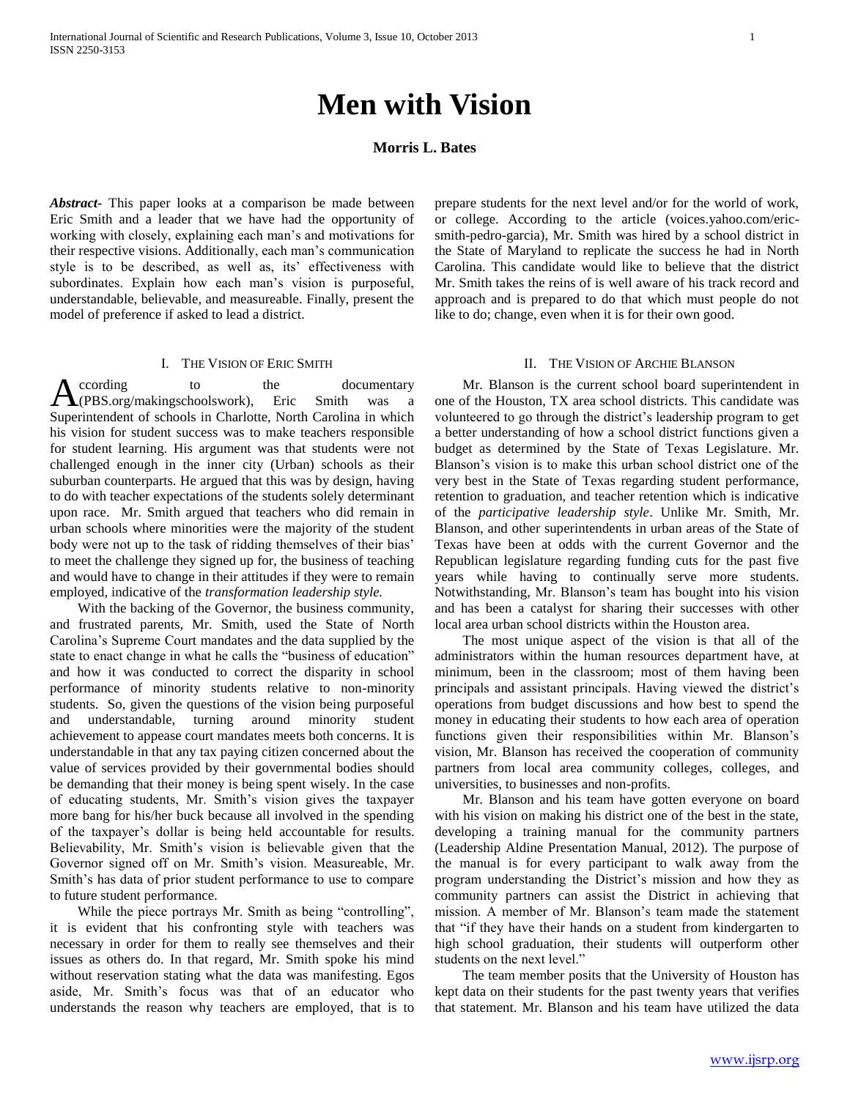# **Men with Vision**

# **Morris L. Bates**

*Abstract***-** This paper looks at a comparison be made between Eric Smith and a leader that we have had the opportunity of working with closely, explaining each man's and motivations for their respective visions. Additionally, each man's communication style is to be described, as well as, its' effectiveness with subordinates. Explain how each man's vision is purposeful, understandable, believable, and measureable. Finally, present the model of preference if asked to lead a district.

#### I. THE VISION OF ERIC SMITH

ccording to the documentary A ccording to the documentary<br>
(PBS.org/makingschoolswork), Eric Smith was a Superintendent of schools in Charlotte, North Carolina in which his vision for student success was to make teachers responsible for student learning. His argument was that students were not challenged enough in the inner city (Urban) schools as their suburban counterparts. He argued that this was by design, having to do with teacher expectations of the students solely determinant upon race. Mr. Smith argued that teachers who did remain in urban schools where minorities were the majority of the student body were not up to the task of ridding themselves of their bias' to meet the challenge they signed up for, the business of teaching and would have to change in their attitudes if they were to remain employed, indicative of the *transformation leadership style.*

 With the backing of the Governor, the business community, and frustrated parents, Mr. Smith, used the State of North Carolina's Supreme Court mandates and the data supplied by the state to enact change in what he calls the "business of education" and how it was conducted to correct the disparity in school performance of minority students relative to non-minority students. So, given the questions of the vision being purposeful and understandable, turning around minority student achievement to appease court mandates meets both concerns. It is understandable in that any tax paying citizen concerned about the value of services provided by their governmental bodies should be demanding that their money is being spent wisely. In the case of educating students, Mr. Smith's vision gives the taxpayer more bang for his/her buck because all involved in the spending of the taxpayer's dollar is being held accountable for results. Believability, Mr. Smith's vision is believable given that the Governor signed off on Mr. Smith's vision. Measureable, Mr. Smith's has data of prior student performance to use to compare to future student performance.

 While the piece portrays Mr. Smith as being "controlling", it is evident that his confronting style with teachers was necessary in order for them to really see themselves and their issues as others do. In that regard, Mr. Smith spoke his mind without reservation stating what the data was manifesting. Egos aside, Mr. Smith's focus was that of an educator who understands the reason why teachers are employed, that is to

prepare students for the next level and/or for the world of work, or college. According to the article (voices.yahoo.com/ericsmith-pedro-garcia), Mr. Smith was hired by a school district in the State of Maryland to replicate the success he had in North Carolina. This candidate would like to believe that the district Mr. Smith takes the reins of is well aware of his track record and approach and is prepared to do that which must people do not like to do; change, even when it is for their own good.

## II. THE VISION OF ARCHIE BLANSON

 Mr. Blanson is the current school board superintendent in one of the Houston, TX area school districts. This candidate was volunteered to go through the district's leadership program to get a better understanding of how a school district functions given a budget as determined by the State of Texas Legislature. Mr. Blanson's vision is to make this urban school district one of the very best in the State of Texas regarding student performance, retention to graduation, and teacher retention which is indicative of the *participative leadership style*. Unlike Mr. Smith, Mr. Blanson, and other superintendents in urban areas of the State of Texas have been at odds with the current Governor and the Republican legislature regarding funding cuts for the past five years while having to continually serve more students. Notwithstanding, Mr. Blanson's team has bought into his vision and has been a catalyst for sharing their successes with other local area urban school districts within the Houston area.

 The most unique aspect of the vision is that all of the administrators within the human resources department have, at minimum, been in the classroom; most of them having been principals and assistant principals. Having viewed the district's operations from budget discussions and how best to spend the money in educating their students to how each area of operation functions given their responsibilities within Mr. Blanson's vision, Mr. Blanson has received the cooperation of community partners from local area community colleges, colleges, and universities, to businesses and non-profits.

 Mr. Blanson and his team have gotten everyone on board with his vision on making his district one of the best in the state, developing a training manual for the community partners (Leadership Aldine Presentation Manual, 2012). The purpose of the manual is for every participant to walk away from the program understanding the District's mission and how they as community partners can assist the District in achieving that mission. A member of Mr. Blanson's team made the statement that "if they have their hands on a student from kindergarten to high school graduation, their students will outperform other students on the next level."

 The team member posits that the University of Houston has kept data on their students for the past twenty years that verifies that statement. Mr. Blanson and his team have utilized the data